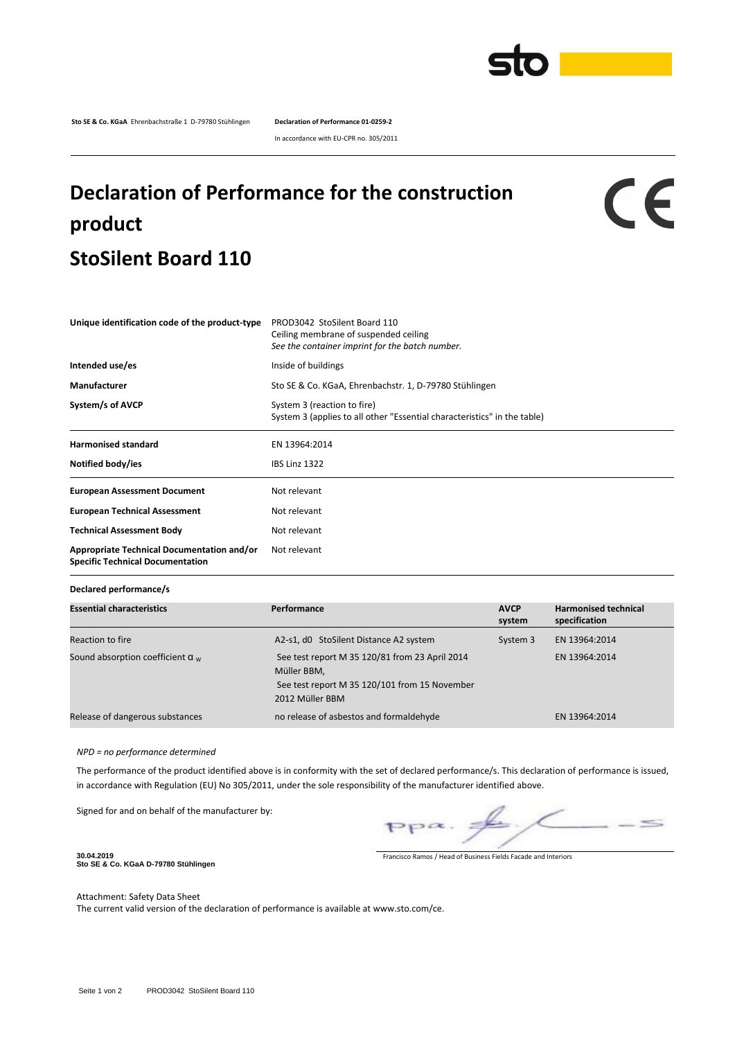

**Sto SE & Co. KGaA** Ehrenbachstraße 1 D-79780 Stühlingen **Declaration of Performance 01-0259-2**

In accordance with EU-CPR no. 305/2011

## **Declaration of Performance for the construction product StoSilent Board 110**

CE

| Unique identification code of the product-type                                        | PROD3042 StoSilent Board 110<br>Ceiling membrane of suspended ceiling<br>See the container imprint for the batch number. |  |  |  |
|---------------------------------------------------------------------------------------|--------------------------------------------------------------------------------------------------------------------------|--|--|--|
| Intended use/es                                                                       | Inside of buildings                                                                                                      |  |  |  |
| <b>Manufacturer</b>                                                                   | Sto SE & Co. KGaA, Ehrenbachstr. 1, D-79780 Stühlingen                                                                   |  |  |  |
| System/s of AVCP                                                                      | System 3 (reaction to fire)<br>System 3 (applies to all other "Essential characteristics" in the table)                  |  |  |  |
| <b>Harmonised standard</b>                                                            | EN 13964:2014                                                                                                            |  |  |  |
| Notified body/ies                                                                     | <b>IBS Linz 1322</b>                                                                                                     |  |  |  |
| <b>European Assessment Document</b>                                                   | Not relevant                                                                                                             |  |  |  |
| <b>European Technical Assessment</b>                                                  | Not relevant                                                                                                             |  |  |  |
| <b>Technical Assessment Body</b>                                                      | Not relevant                                                                                                             |  |  |  |
| Appropriate Technical Documentation and/or<br><b>Specific Technical Documentation</b> | Not relevant                                                                                                             |  |  |  |

**Declared performance/s**

| <b>Essential characteristics</b>        | Performance                                                                                                                       | <b>AVCP</b><br>system | <b>Harmonised technical</b><br>specification |
|-----------------------------------------|-----------------------------------------------------------------------------------------------------------------------------------|-----------------------|----------------------------------------------|
| Reaction to fire                        | A2-s1, d0 StoSilent Distance A2 system                                                                                            | System 3              | EN 13964:2014                                |
| Sound absorption coefficient $\alpha_w$ | See test report M 35 120/81 from 23 April 2014<br>Müller BBM,<br>See test report M 35 120/101 from 15 November<br>2012 Müller BBM |                       | EN 13964:2014                                |
| Release of dangerous substances         | no release of asbestos and formaldehyde                                                                                           |                       | EN 13964:2014                                |

*NPD = no performance determined*

The performance of the product identified above is in conformity with the set of declared performance/s. This declaration of performance is issued, in accordance with Regulation (EU) No 305/2011, under the sole responsibility of the manufacturer identified above.

Signed for and on behalf of the manufacturer by:

 $\leq$  $PP^{\alpha}$ .

**30.04.2019 Sto SE & Co. KGaA D-79780 Stühlingen**

Francisco Ramos / Head of Business Fields Facade and Interiors

Attachment: Safety Data Sheet

The current valid version of the declaration of performance is available at www.sto.com/ce.